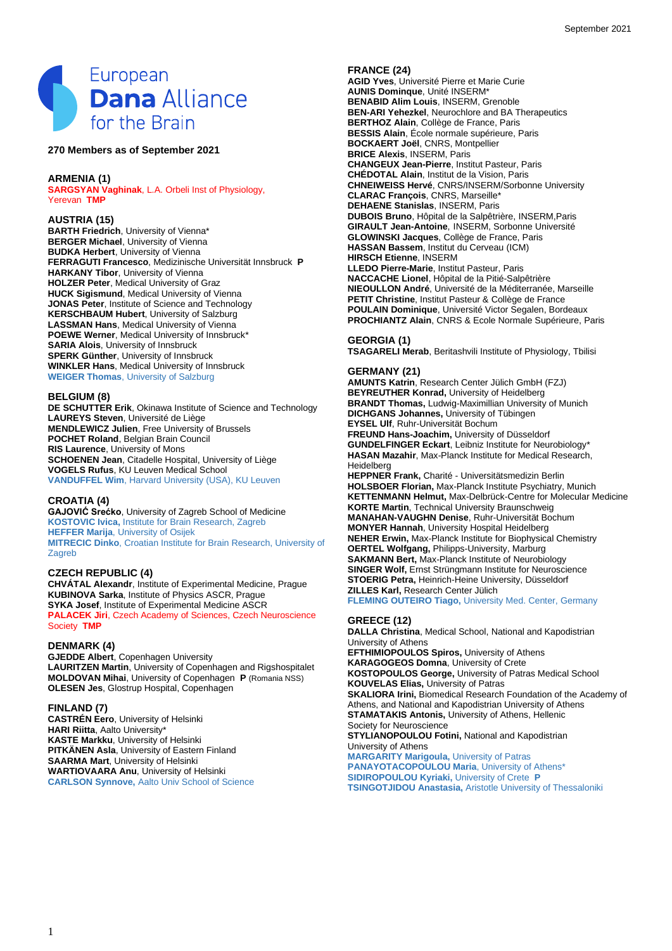

## **270 Members as of September 2021**

### **ARMENIA (1)**

**SARGSYAN Vaghinak**, L.A. Orbeli Inst of Physiology, Yerevan **TMP**

## **AUSTRIA (15)**

**BARTH Friedrich**, University of Vienna\* **BERGER Michael**, University of Vienna **BUDKA Herbert**, University of Vienna **FERRAGUTI Francesco**, Medizinische Universität Innsbruck **P HARKANY Tibor**, University of Vienna **HOLZER Peter**, Medical University of Graz **HUCK Sigismund**, Medical University of Vienna **JONAS Peter**, Institute of Science and Technology **KERSCHBAUM Hubert**, University of Salzburg **LASSMAN Hans**, Medical University of Vienna **POEWE Werner**, Medical University of Innsbruck\* **SARIA Alois, University of Innsbruck SPERK Günther**, University of Innsbruck **WINKLER Hans**, Medical University of Innsbruck **WEIGER Thomas**, University of Salzburg

#### **BELGIUM (8)**

DE SCHUTTER Erik, Okinawa Institute of Science and Technology **LAUREYS Steven**, Université de Liège **MENDLEWICZ Julien**, Free University of Brussels **POCHET Roland**, Belgian Brain Council **RIS Laurence**, University of Mons **SCHOENEN Jean**, Citadelle Hospital, University of Liège **VOGELS Rufus**, KU Leuven Medical School **VANDUFFEL Wim**, Harvard University (USA), KU Leuven

### **CROATIA (4)**

**GAJOVIĆ Srećko**, University of Zagreb School of Medicine **KOSTOVIC Ivica,** Institute for Brain Research, Zagreb **HEFFER Marija**, University of Osijek **MITRECIC Dinko**, Croatian Institute for Brain Research, University of **Zagreb** 

### **CZECH REPUBLIC (4)**

**CHVÁTAL Alexandr**, Institute of Experimental Medicine, Prague **KUBINOVA Sarka**, Institute of Physics ASCR, Prague **SYKA Josef**, Institute of Experimental Medicine ASCR **PALACEK Jiri**, Czech Academy of Sciences, Czech Neuroscience Society **TMP**

#### **DENMARK (4)**

**GJEDDE Albert**, Copenhagen University **LAURITZEN Martin**, University of Copenhagen and Rigshospitalet **MOLDOVAN Mihai**, University of Copenhagen **P** (Romania NSS) **OLESEN Jes**, Glostrup Hospital, Copenhagen

## **FINLAND (7)**

**CASTRÉN Eero**, University of Helsinki **HARI Riitta**, Aalto University\* **KASTE Markku**, University of Helsinki **PITKÄNEN Asla**, University of Eastern Finland **SAARMA Mart**, University of Helsinki **WARTIOVAARA Anu**, University of Helsinki **CARLSON Synnove,** Aalto Univ School of Science

#### **FRANCE (24)**

**AGID Yves**, Université Pierre et Marie Curie **AUNIS Dominque**, Unité INSERM\* **BENABID Alim Louis**, INSERM, Grenoble **BEN-ARI Yehezkel**, Neurochlore and BA Therapeutics **BERTHOZ Alain**, Collège de France, Paris **BESSIS Alain**, École normale supérieure, Paris **BOCKAERT Joël**, CNRS, Montpellier **BRICE Alexis**, INSERM, Paris **CHANGEUX Jean-Pierre**, Institut Pasteur, Paris **CHÉDOTAL Alain**, Institut de la Vision, Paris **CHNEIWEISS Hervé**, CNRS/INSERM/Sorbonne University **CLARAC François**, CNRS, Marseille\* **DEHAENE Stanislas**, INSERM, Paris **DUBOIS Bruno**, Hôpital de la Salpêtrière, INSERM,Paris **GIRAULT Jean-Antoine**, INSERM, Sorbonne Université **GLOWINSKI Jacques**, Collège de France, Paris **HASSAN Bassem**, Institut du Cerveau (ICM) **HIRSCH Etienne**, INSERM **LLEDO Pierre-Marie**, Institut Pasteur, Paris **NACCACHE Lionel**, Hôpital de la Pitié-Salpêtrière **NIEOULLON André**, Université de la Méditerranée, Marseille **PETIT Christine**, Institut Pasteur & Collège de France **POULAIN Dominique**, Université Victor Segalen, Bordeaux **PROCHIANTZ Alain**, CNRS & Ecole Normale Supérieure, Paris

# **GEORGIA (1)**

**TSAGARELI Merab**, Beritashvili Institute of Physiology, Tbilisi

## **GERMANY (21)**

**AMUNTS Katrin**, Research Center Jülich GmbH (FZJ) **BEYREUTHER Konrad,** University of Heidelberg **BRANDT Thomas,** Ludwig-Maximillian University of Munich **DICHGANS Johannes,** University of Tübingen **EYSEL Ulf**, Ruhr-Universität Bochum **FREUND Hans-Joachim,** University of Düsseldorf **GUNDELFINGER Eckart**, Leibniz Institute for Neurobiology\* **HASAN Mazahir**, Max-Planck Institute for Medical Research, Heidelberg **HEPPNER Frank,** Charité - Universitätsmedizin Berlin **HOLSBOER Florian,** Max-Planck Institute Psychiatry, Munich **KETTENMANN Helmut,** Max-Delbrück-Centre for Molecular Medicine **KORTE Martin**, Technical University Braunschweig **MANAHAN-VAUGHN Denise**, Ruhr-Universität Bochum **MONYER Hannah**, University Hospital Heidelberg

**NEHER Erwin,** Max-Planck Institute for Biophysical Chemistry **OERTEL Wolfgang,** Philipps-University, Marburg **SAKMANN Bert,** Max-Planck Institute of Neurobiology **SINGER Wolf,** Ernst Strüngmann Institute for Neuroscience **STOERIG Petra,** Heinrich-Heine University, Düsseldorf **ZILLES Karl,** Research Center Jülich **FLEMING OUTEIRO Tiago,** University Med. Center, Germany

#### **GREECE (12)**

**DALLA Christina**, Medical School, National and Kapodistrian University of Athens **EFTHIMIOPOULOS Spiros,** University of Athens **KARAGOGEOS Domna**, University of Crete **KOSTOPOULOS George,** University of Patras Medical School **KOUVELAS Elias,** University of Patras **SKALIORA Irini, Biomedical Research Foundation of the Academy of** Athens, and National and Kapodistrian University of Athens **STAMATAKIS Antonis,** University of Athens, Hellenic Society for Neuroscience **STYLIANOPOULOU Fotini,** National and Kapodistrian University of Athens **MARGARITY Marigoula,** University of Patras **PANAYOTACOPOULOU Maria**, University of Athens\* **SIDIROPOULOU Kyriaki, University of Crete P TSINGOTJIDOU Anastasia,** Aristotle University of Thessaloniki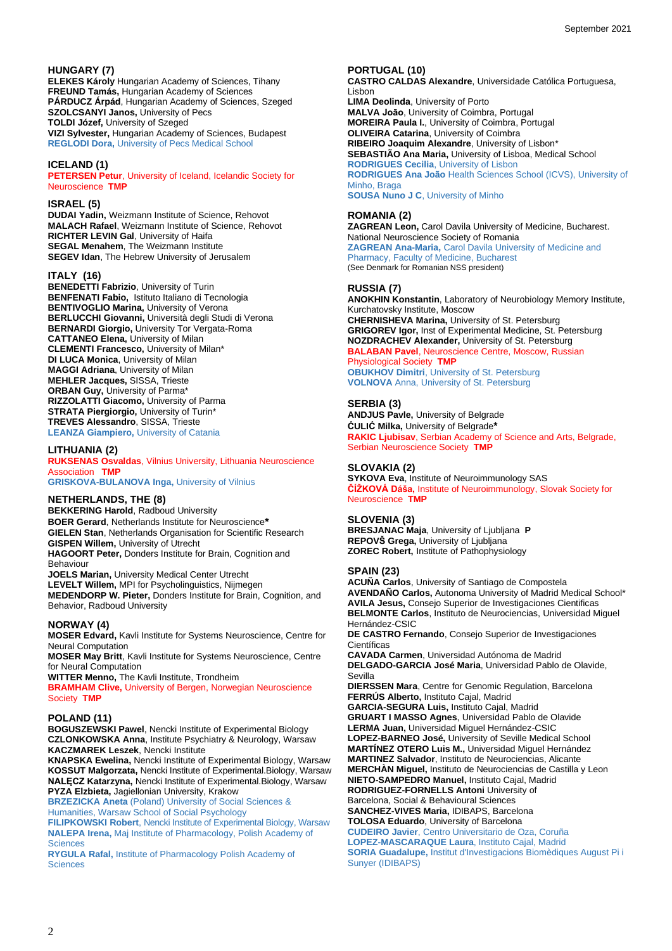## **HUNGARY (7)**

**ELEKES Károly** Hungarian Academy of Sciences, Tihany **FREUND Tamás,** Hungarian Academy of Sciences **PÁRDUCZ Árpád**, Hungarian Academy of Sciences, Szeged **SZOLCSANYI Janos,** University of Pecs **TOLDI Józef,** University of Szeged **VIZI Sylvester,** Hungarian Academy of Sciences, Budapest **REGLODI Dora,** University of Pecs Medical School

## **ICELAND (1)**

**PETERSEN Petur**, University of Iceland, Icelandic Society for Neuroscience **TMP**

#### **ISRAEL (5)**

**DUDAI Yadin,** Weizmann Institute of Science, Rehovot **MALACH Rafael**, Weizmann Institute of Science, Rehovot **RICHTER LEVIN Gal**, University of Haifa **SEGAL Menahem**, The Weizmann Institute **SEGEV Idan**, The Hebrew University of Jerusalem

## **ITALY (16)**

**BENEDETTI Fabrizio**, University of Turin **BENFENATI Fabio,** Istituto Italiano di Tecnologia **BENTIVOGLIO Marina, University of Verona BERLUCCHI Giovanni, Università degli Studi di Verona BERNARDI Giorgio,** University Tor Vergata-Roma **CATTANEO Elena,** University of Milan **CLEMENTI Francesco,** University of Milan\* **DI LUCA Monica**, University of Milan **MAGGI Adriana**, University of Milan **MEHLER Jacques,** SISSA, Trieste **ORBAN Guy,** University of Parma\* **RIZZOLATTI Giacomo,** University of Parma **STRATA Piergiorgio, University of Turin\* TREVES Alessandro**, SISSA, Trieste **LEANZA Giampiero,** University of Catania

## **LITHUANIA (2)**

**RUKSENAS Osvaldas**, Vilnius University, Lithuania Neuroscience Association **TMP**

**GRISKOVA-BULANOVA Inga,** University of Vilnius

## **NETHERLANDS, THE (8)**

**BEKKERING Harold**, Radboud University **BOER Gerard**, Netherlands Institute for Neuroscience**\* GIELEN Stan**, Netherlands Organisation for Scientific Research **GISPEN Willem,** University of Utrecht **HAGOORT Peter,** Donders Institute for Brain, Cognition and Behaviour **JOELS Marian,** University Medical Center Utrecht **LEVELT Willem,** MPI for Psycholinguistics, Nijmegen

**MEDENDORP W. Pieter,** Donders Institute for Brain, Cognition, and Behavior, Radboud University

## **NORWAY (4)**

**MOSER Edvard,** Kavli Institute for Systems Neuroscience, Centre for Neural Computation

**MOSER May Britt**, Kavli Institute for Systems Neuroscience, Centre for Neural Computation

**WITTER Menno,** The Kavli Institute, Trondheim

**BRAMHAM Clive,** University of Bergen, Norwegian Neuroscience Society **TMP**

## **POLAND (11)**

**BOGUSZEWSKI Pawel**, Nencki Institute of Experimental Biology **CZLONKOWSKA Anna**, Institute Psychiatry & Neurology, Warsaw **KACZMAREK Leszek**, Nencki Institute

**KNAPSKA Ewelina,** Nencki Institute of Experimental Biology, Warsaw **KOSSUT Malgorzata,** Nencki Institute of Experimental.Biology, Warsaw **NALĘCZ Katarzyna,** Nencki Institute of Experimental.Biology, Warsaw **PYZA Elzbieta,** Jagiellonian University, Krakow

**BRZEZICKA Aneta** (Poland) University of Social Sciences & Humanities, Warsaw School of Social Psychology

**FILIPKOWSKI Robert**, Nencki Institute of Experimental Biology, Warsaw **NALEPA Irena,** Maj Institute of Pharmacology, Polish Academy of **Sciences** 

**RYGULA Rafal,** Institute of Pharmacology Polish Academy of **Sciences** 

## **PORTUGAL (10)**

**CASTRO CALDAS Alexandre**, Universidade Católica Portuguesa, Lisbon **LIMA Deolinda**, University of Porto **MALVA Joāo**, University of Coimbra, Portugal **MOREIRA Paula I.**, University of Coimbra, Portugal **OLIVEIRA Catarina**, University of Coimbra **RIBEIRO Joaquim Alexandre**, University of Lisbon\* **SEBASTIÃO Ana Maria,** University of Lisboa, Medical School **RODRIGUES Cecilia**, University of Lisbon **RODRIGUES Ana João** Health Sciences School (ICVS), University of Minho, Braga **SOUSA Nuno J C**, University of Minho

## **ROMANIA (2)**

**ZAGREAN Leon,** Carol Davila University of Medicine, Bucharest. National Neuroscience Society of Romania **ZAGREAN Ana-Maria,** Carol Davila University of Medicine and Pharmacy, Faculty of Medicine, Bucharest (See Denmark for Romanian NSS president)

## **RUSSIA (7)**

**ANOKHIN Konstantin**, Laboratory of Neurobiology Memory Institute, Kurchatovsky Institute, Moscow **CHERNISHEVA Marina,** University of St. Petersburg **GRIGOREV Igor,** Inst of Experimental Medicine, St. Petersburg **NOZDRACHEV Alexander,** University of St. Petersburg **BALABAN Pavel**, Neuroscience Centre, Moscow, Russian Physiological Society **TMP OBUKHOV Dimitri**, University of St. Petersburg **VOLNOVA** Anna, University of St. Petersburg

#### **SERBIA (3)**

**ANDJUS Pavle,** University of Belgrade **ĆULIĆ Milka,** University of Belgrade**\* RAKIC Ljubisav**, Serbian Academy of Science and Arts, Belgrade, Serbian Neuroscience Society **TMP**

## **SLOVAKIA (2)**

**SYKOVA Eva**, Institute of Neuroimmunology SAS **ČÍŽKOVÁ Dáša,** Institute of Neuroimmunology, Slovak Society for Neuroscience **TMP**

### **SLOVENIA (3)**

**BRESJANAC Maja**, University of Ljubljana **P REPOVŠ Grega,** University of Ljubljana **ZOREC Robert,** Institute of Pathophysiology

#### **SPAIN (23)**

**ACUÑA Carlos**, University of Santiago de Compostela **AVENDAÑO Carlos,** Autonoma University of Madrid Medical School\* **AVILA Jesus,** Consejo Superior de Investigaciones Cientificas **BELMONTE Carlos**, Instituto de Neurociencias, Universidad Miguel Hernández-CSIC

**DE CASTRO Fernando**, Consejo Superior de Investigaciones Científicas

**CAVADA Carmen**, Universidad Autónoma de Madrid **DELGADO-GARCIA José Maria**, Universidad Pablo de Olavide, Sevilla

**DIERSSEN Mara**, Centre for Genomic Regulation, Barcelona **FERRÚS Alberto,** Instituto Cajal, Madrid **GARCIA-SEGURA Luis,** Instituto Cajal, Madrid **GRUART I MASSO Agnes**, Universidad Pablo de Olavide **LERMA Juan,** Universidad Miguel Hernández-CSIC **LOPEZ-BARNEO José,** University of Seville Medical School **MARTÍNEZ OTERO Luis M.,** Universidad Miguel Hernández **MARTINEZ Salvador**, Instituto de Neurociencias, Alicante **MERCHÀN Miguel,** Instituto de Neurociencias de Castilla y Leon **NIETO-SAMPEDRO Manuel,** Instituto Cajal, Madrid **RODRIGUEZ-FORNELLS Antoni** University of Barcelona, Social & Behavioural Sciences **SANCHEZ-VIVES Maria,** IDIBAPS, Barcelona **TOLOSA Eduardo**, University of Barcelona **CUDEIRO Javier**, Centro Universitario de Oza, Coruña **LOPEZ-MASCARAQUE Laura**, Instituto Cajal, Madrid **SORIA Guadalupe,** Institut d'Investigacions Biomèdiques August Pi i

Sunyer (IDIBAPS)